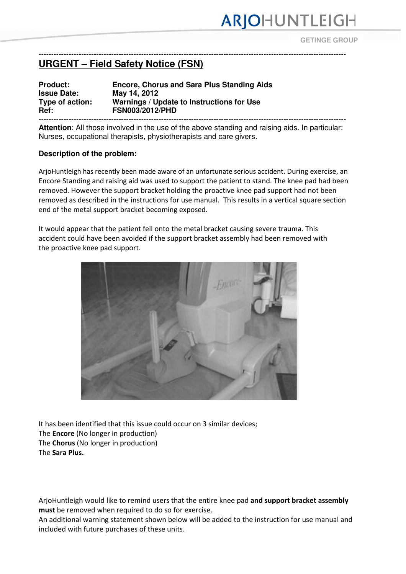# ARJOHUNTLEIGH

**GETINGE GROUP**

### --------------------------------------------------------------------------------------------------------------------------- **URGENT – Field Safety Notice (FSN)**

### **Product: Encore, Chorus and Sara Plus Standing Aids Issue Date: May 14, 2012 Type of action: Warnings / Update to Instructions for Use Ref: FSN003/2012/PHD**

--------------------------------------------------------------------------------------------------------------------------- **Attention**: All those involved in the use of the above standing and raising aids. In particular: Nurses, occupational therapists, physiotherapists and care givers.

#### **Description of the problem:**

ArjoHuntleigh has recently been made aware of an unfortunate serious accident. During exercise, an Encore Standing and raising aid was used to support the patient to stand. The knee pad had been removed. However the support bracket holding the proactive knee pad support had not been removed as described in the instructions for use manual. This results in a vertical square section end of the metal support bracket becoming exposed.

It would appear that the patient fell onto the metal bracket causing severe trauma. This accident could have been avoided if the support bracket assembly had been removed with the proactive knee pad support.



It has been identified that this issue could occur on 3 similar devices; The Encore (No longer in production) The Chorus (No longer in production) The Sara Plus.

ArjoHuntleigh would like to remind users that the entire knee pad and support bracket assembly must be removed when required to do so for exercise.

An additional warning statement shown below will be added to the instruction for use manual and included with future purchases of these units.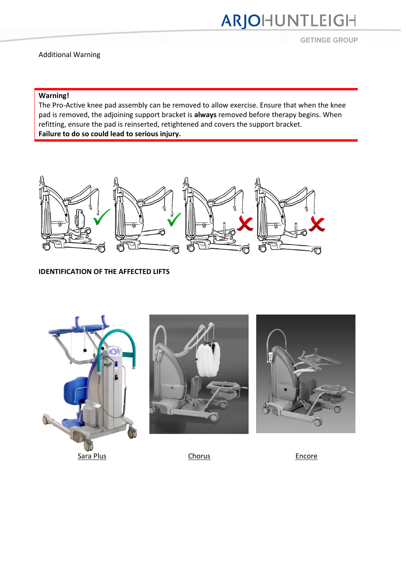# ARJOHUNTLEIGH

**GETINGE GROUP**

### Additional Warning

## Warning!

The Pro-Active knee pad assembly can be removed to allow exercise. Ensure that when the knee pad is removed, the adjoining support bracket is always removed before therapy begins. When refitting, ensure the pad is reinserted, retightened and covers the support bracket. Failure to do so could lead to serious injury.



#### IDENTIFICATION OF THE AFFECTED LIFTS